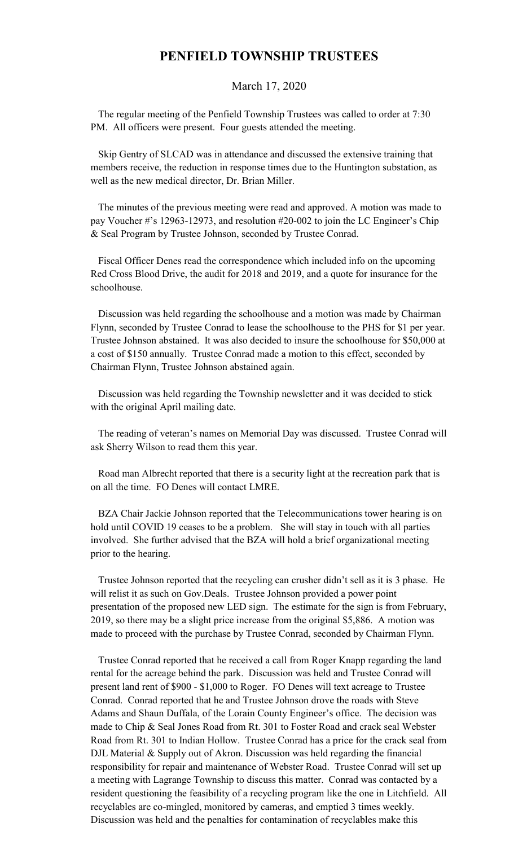## **PENFIELD TOWNSHIP TRUSTEES**

## March 17, 2020

 The regular meeting of the Penfield Township Trustees was called to order at 7:30 PM. All officers were present. Four guests attended the meeting.

 Skip Gentry of SLCAD was in attendance and discussed the extensive training that members receive, the reduction in response times due to the Huntington substation, as well as the new medical director, Dr. Brian Miller.

 The minutes of the previous meeting were read and approved. A motion was made to pay Voucher #'s 12963-12973, and resolution #20-002 to join the LC Engineer's Chip & Seal Program by Trustee Johnson, seconded by Trustee Conrad.

 Fiscal Officer Denes read the correspondence which included info on the upcoming Red Cross Blood Drive, the audit for 2018 and 2019, and a quote for insurance for the schoolhouse.

 Discussion was held regarding the schoolhouse and a motion was made by Chairman Flynn, seconded by Trustee Conrad to lease the schoolhouse to the PHS for \$1 per year. Trustee Johnson abstained. It was also decided to insure the schoolhouse for \$50,000 at a cost of \$150 annually. Trustee Conrad made a motion to this effect, seconded by Chairman Flynn, Trustee Johnson abstained again.

 Discussion was held regarding the Township newsletter and it was decided to stick with the original April mailing date.

 The reading of veteran's names on Memorial Day was discussed. Trustee Conrad will ask Sherry Wilson to read them this year.

 Road man Albrecht reported that there is a security light at the recreation park that is on all the time. FO Denes will contact LMRE.

 BZA Chair Jackie Johnson reported that the Telecommunications tower hearing is on hold until COVID 19 ceases to be a problem. She will stay in touch with all parties involved. She further advised that the BZA will hold a brief organizational meeting prior to the hearing.

 Trustee Johnson reported that the recycling can crusher didn't sell as it is 3 phase. He will relist it as such on Gov.Deals. Trustee Johnson provided a power point presentation of the proposed new LED sign. The estimate for the sign is from February, 2019, so there may be a slight price increase from the original \$5,886. A motion was made to proceed with the purchase by Trustee Conrad, seconded by Chairman Flynn.

 Trustee Conrad reported that he received a call from Roger Knapp regarding the land rental for the acreage behind the park. Discussion was held and Trustee Conrad will present land rent of \$900 - \$1,000 to Roger. FO Denes will text acreage to Trustee Conrad. Conrad reported that he and Trustee Johnson drove the roads with Steve Adams and Shaun Duffala, of the Lorain County Engineer's office. The decision was made to Chip & Seal Jones Road from Rt. 301 to Foster Road and crack seal Webster Road from Rt. 301 to Indian Hollow. Trustee Conrad has a price for the crack seal from DJL Material & Supply out of Akron. Discussion was held regarding the financial responsibility for repair and maintenance of Webster Road. Trustee Conrad will set up a meeting with Lagrange Township to discuss this matter. Conrad was contacted by a resident questioning the feasibility of a recycling program like the one in Litchfield. All recyclables are co-mingled, monitored by cameras, and emptied 3 times weekly. Discussion was held and the penalties for contamination of recyclables make this